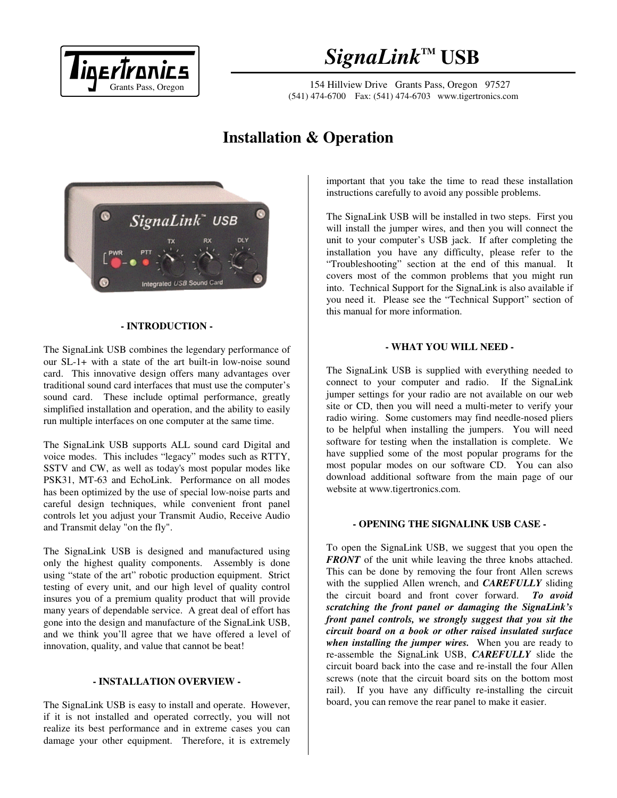

# $Signalink<sup>™</sup>$  **USB**

154 Hillview Drive Grants Pass, Oregon 97527 (541) 474-6700 Fax: (541) 474-6703 www.tigertronics.com

## **Installation & Operation**



## **- INTRODUCTION -**

The SignaLink USB combines the legendary performance of our SL-1+ with a state of the art built-in low-noise sound card. This innovative design offers many advantages over traditional sound card interfaces that must use the computer's sound card. These include optimal performance, greatly simplified installation and operation, and the ability to easily run multiple interfaces on one computer at the same time.

The SignaLink USB supports ALL sound card Digital and voice modes. This includes "legacy" modes such as RTTY, SSTV and CW, as well as today's most popular modes like PSK31, MT-63 and EchoLink. Performance on all modes has been optimized by the use of special low-noise parts and careful design techniques, while convenient front panel controls let you adjust your Transmit Audio, Receive Audio and Transmit delay "on the fly".

The SignaLink USB is designed and manufactured using only the highest quality components. Assembly is done using "state of the art" robotic production equipment. Strict testing of every unit, and our high level of quality control insures you of a premium quality product that will provide many years of dependable service. A great deal of effort has gone into the design and manufacture of the SignaLink USB, and we think you'll agree that we have offered a level of innovation, quality, and value that cannot be beat!

## **- INSTALLATION OVERVIEW -**

The SignaLink USB is easy to install and operate. However, if it is not installed and operated correctly, you will not realize its best performance and in extreme cases you can damage your other equipment. Therefore, it is extremely

important that you take the time to read these installation instructions carefully to avoid any possible problems.

The SignaLink USB will be installed in two steps. First you will install the jumper wires, and then you will connect the unit to your computer's USB jack. If after completing the installation you have any difficulty, please refer to the "Troubleshooting" section at the end of this manual. It covers most of the common problems that you might run into. Technical Support for the SignaLink is also available if you need it. Please see the "Technical Support" section of this manual for more information.

#### **- WHAT YOU WILL NEED -**

The SignaLink USB is supplied with everything needed to connect to your computer and radio. If the SignaLink jumper settings for your radio are not available on our web site or CD, then you will need a multi-meter to verify your radio wiring. Some customers may find needle-nosed pliers to be helpful when installing the jumpers. You will need software for testing when the installation is complete. We have supplied some of the most popular programs for the most popular modes on our software CD. You can also download additional software from the main page of our website at www.tigertronics.com.

#### **- OPENING THE SIGNALINK USB CASE -**

To open the SignaLink USB, we suggest that you open the *FRONT* of the unit while leaving the three knobs attached. This can be done by removing the four front Allen screws with the supplied Allen wrench, and *CAREFULLY* sliding the circuit board and front cover forward. *To avoid scratching the front panel or damaging the SignaLink's front panel controls, we strongly suggest that you sit the circuit board on a book or other raised insulated surface when installing the jumper wires.* When you are ready to re-assemble the SignaLink USB, *CAREFULLY* slide the circuit board back into the case and re-install the four Allen screws (note that the circuit board sits on the bottom most rail). If you have any difficulty re-installing the circuit board, you can remove the rear panel to make it easier.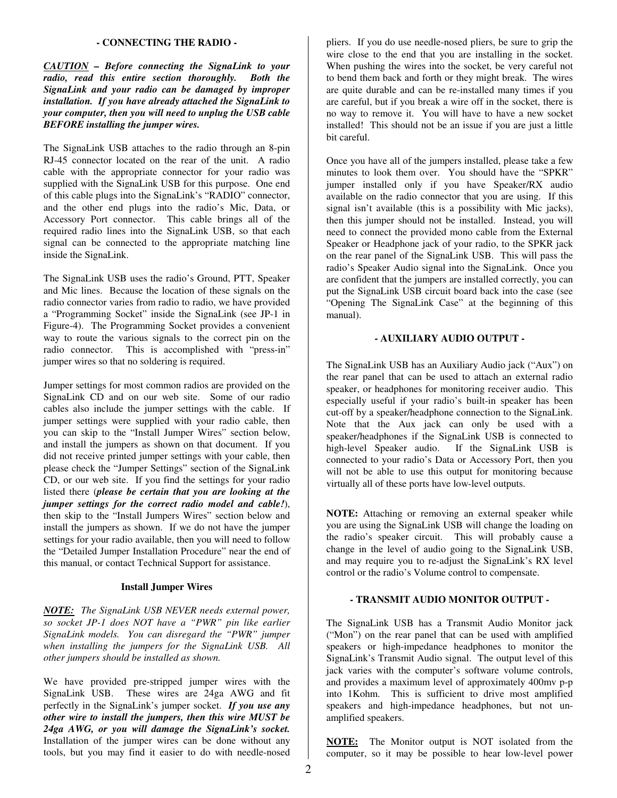### **- CONNECTING THE RADIO -**

*CAUTION – Before connecting the SignaLink to your radio, read this entire section thoroughly. Both the SignaLink and your radio can be damaged by improper installation. If you have already attached the SignaLink to your computer, then you will need to unplug the USB cable BEFORE installing the jumper wires.*

The SignaLink USB attaches to the radio through an 8-pin RJ-45 connector located on the rear of the unit. A radio cable with the appropriate connector for your radio was supplied with the SignaLink USB for this purpose. One end of this cable plugs into the SignaLink's "RADIO" connector, and the other end plugs into the radio's Mic, Data, or Accessory Port connector. This cable brings all of the required radio lines into the SignaLink USB, so that each signal can be connected to the appropriate matching line inside the SignaLink.

The SignaLink USB uses the radio's Ground, PTT, Speaker and Mic lines. Because the location of these signals on the radio connector varies from radio to radio, we have provided a "Programming Socket" inside the SignaLink (see JP-1 in Figure-4). The Programming Socket provides a convenient way to route the various signals to the correct pin on the radio connector. This is accomplished with "press-in" jumper wires so that no soldering is required.

Jumper settings for most common radios are provided on the SignaLink CD and on our web site. Some of our radio cables also include the jumper settings with the cable. If jumper settings were supplied with your radio cable, then you can skip to the "Install Jumper Wires" section below, and install the jumpers as shown on that document. If you did not receive printed jumper settings with your cable, then please check the "Jumper Settings" section of the SignaLink CD, or our web site. If you find the settings for your radio listed there (*please be certain that you are looking at the jumper settings for the correct radio model and cable!*), then skip to the "Install Jumpers Wires" section below and install the jumpers as shown. If we do not have the jumper settings for your radio available, then you will need to follow the "Detailed Jumper Installation Procedure" near the end of this manual, or contact Technical Support for assistance.

### **Install Jumper Wires**

*NOTE: The SignaLink USB NEVER needs external power, so socket JP-1 does NOT have a "PWR" pin like earlier SignaLink models. You can disregard the "PWR" jumper when installing the jumpers for the SignaLink USB. All other jumpers should be installed as shown.* 

We have provided pre-stripped jumper wires with the SignaLink USB. These wires are 24ga AWG and fit perfectly in the SignaLink's jumper socket. *If you use any other wire to install the jumpers, then this wire MUST be 24ga AWG, or you will damage the SignaLink's socket.* Installation of the jumper wires can be done without any tools, but you may find it easier to do with needle-nosed

pliers. If you do use needle-nosed pliers, be sure to grip the wire close to the end that you are installing in the socket. When pushing the wires into the socket, be very careful not to bend them back and forth or they might break. The wires are quite durable and can be re-installed many times if you are careful, but if you break a wire off in the socket, there is no way to remove it. You will have to have a new socket installed! This should not be an issue if you are just a little bit careful.

Once you have all of the jumpers installed, please take a few minutes to look them over. You should have the "SPKR" jumper installed only if you have Speaker/RX audio available on the radio connector that you are using. If this signal isn't available (this is a possibility with Mic jacks), then this jumper should not be installed. Instead, you will need to connect the provided mono cable from the External Speaker or Headphone jack of your radio, to the SPKR jack on the rear panel of the SignaLink USB. This will pass the radio's Speaker Audio signal into the SignaLink. Once you are confident that the jumpers are installed correctly, you can put the SignaLink USB circuit board back into the case (see "Opening The SignaLink Case" at the beginning of this manual).

## **- AUXILIARY AUDIO OUTPUT -**

The SignaLink USB has an Auxiliary Audio jack ("Aux") on the rear panel that can be used to attach an external radio speaker, or headphones for monitoring receiver audio. This especially useful if your radio's built-in speaker has been cut-off by a speaker/headphone connection to the SignaLink. Note that the Aux jack can only be used with a speaker/headphones if the SignaLink USB is connected to high-level Speaker audio. If the SignaLink USB is connected to your radio's Data or Accessory Port, then you will not be able to use this output for monitoring because virtually all of these ports have low-level outputs.

**NOTE:** Attaching or removing an external speaker while you are using the SignaLink USB will change the loading on the radio's speaker circuit. This will probably cause a change in the level of audio going to the SignaLink USB, and may require you to re-adjust the SignaLink's RX level control or the radio's Volume control to compensate.

## **- TRANSMIT AUDIO MONITOR OUTPUT -**

The SignaLink USB has a Transmit Audio Monitor jack ("Mon") on the rear panel that can be used with amplified speakers or high-impedance headphones to monitor the SignaLink's Transmit Audio signal. The output level of this jack varies with the computer's software volume controls, and provides a maximum level of approximately 400mv p-p into 1Kohm. This is sufficient to drive most amplified speakers and high-impedance headphones, but not unamplified speakers.

**NOTE:** The Monitor output is NOT isolated from the computer, so it may be possible to hear low-level power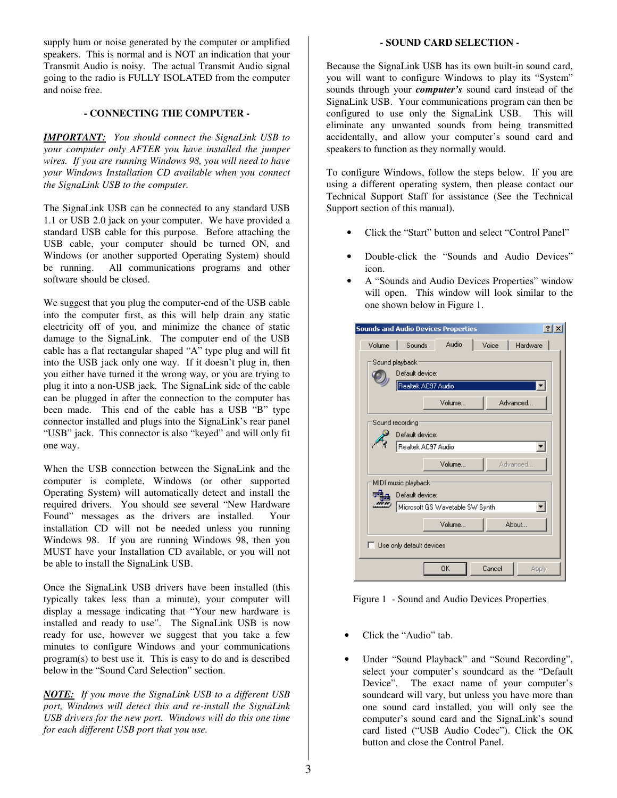supply hum or noise generated by the computer or amplified speakers. This is normal and is NOT an indication that your Transmit Audio is noisy. The actual Transmit Audio signal going to the radio is FULLY ISOLATED from the computer and noise free.

## **- CONNECTING THE COMPUTER -**

*IMPORTANT: You should connect the SignaLink USB to your computer only AFTER you have installed the jumper wires. If you are running Windows 98, you will need to have your Windows Installation CD available when you connect the SignaLink USB to the computer.* 

The SignaLink USB can be connected to any standard USB 1.1 or USB 2.0 jack on your computer. We have provided a standard USB cable for this purpose. Before attaching the USB cable, your computer should be turned ON, and Windows (or another supported Operating System) should be running. All communications programs and other software should be closed.

We suggest that you plug the computer-end of the USB cable into the computer first, as this will help drain any static electricity off of you, and minimize the chance of static damage to the SignaLink. The computer end of the USB cable has a flat rectangular shaped "A" type plug and will fit into the USB jack only one way. If it doesn't plug in, then you either have turned it the wrong way, or you are trying to plug it into a non-USB jack. The SignaLink side of the cable can be plugged in after the connection to the computer has been made. This end of the cable has a USB "B" type connector installed and plugs into the SignaLink's rear panel "USB" jack. This connector is also "keyed" and will only fit one way.

When the USB connection between the SignaLink and the computer is complete, Windows (or other supported Operating System) will automatically detect and install the required drivers. You should see several "New Hardware Found" messages as the drivers are installed. Your installation CD will not be needed unless you running Windows 98. If you are running Windows 98, then you MUST have your Installation CD available, or you will not be able to install the SignaLink USB.

Once the SignaLink USB drivers have been installed (this typically takes less than a minute), your computer will display a message indicating that "Your new hardware is installed and ready to use". The SignaLink USB is now ready for use, however we suggest that you take a few minutes to configure Windows and your communications program(s) to best use it. This is easy to do and is described below in the "Sound Card Selection" section.

*NOTE: If you move the SignaLink USB to a different USB port, Windows will detect this and re-install the SignaLink USB drivers for the new port. Windows will do this one time for each different USB port that you use.* 

## **- SOUND CARD SELECTION -**

Because the SignaLink USB has its own built-in sound card, you will want to configure Windows to play its "System" sounds through your *computer's* sound card instead of the SignaLink USB. Your communications program can then be configured to use only the SignaLink USB. This will eliminate any unwanted sounds from being transmitted accidentally, and allow your computer's sound card and speakers to function as they normally would.

To configure Windows, follow the steps below. If you are using a different operating system, then please contact our Technical Support Staff for assistance (See the Technical Support section of this manual).

- Click the "Start" button and select "Control Panel"
- Double-click the "Sounds and Audio Devices" icon.
- A "Sounds and Audio Devices Properties" window will open. This window will look similar to the one shown below in Figure 1.

| $ ?  \times$<br><b>Sounds and Audio Devices Properties</b> |
|------------------------------------------------------------|
| Audio<br>Voice<br>Hardware<br>Volume<br>Sounds             |
| Sound playback<br>Default device:<br>Realtek AC97 Audio    |
| Advanced<br>Volume                                         |
| Sound recording<br>Default device:                         |
| Realtek AC97 Audio                                         |
| Advanced<br>Volume                                         |
| MIDI music playback                                        |
| Default device:                                            |
| Microsoft GS Wavetable SW Synth                            |
| About<br>Volume                                            |
| $\Box$ Use only default devices                            |
| <b>OK</b><br>Cancel<br>Apply                               |

Figure 1 - Sound and Audio Devices Properties

- Click the "Audio" tab.
- Under "Sound Playback" and "Sound Recording", select your computer's soundcard as the "Default Device". The exact name of your computer's soundcard will vary, but unless you have more than one sound card installed, you will only see the computer's sound card and the SignaLink's sound card listed ("USB Audio Codec"). Click the OK button and close the Control Panel.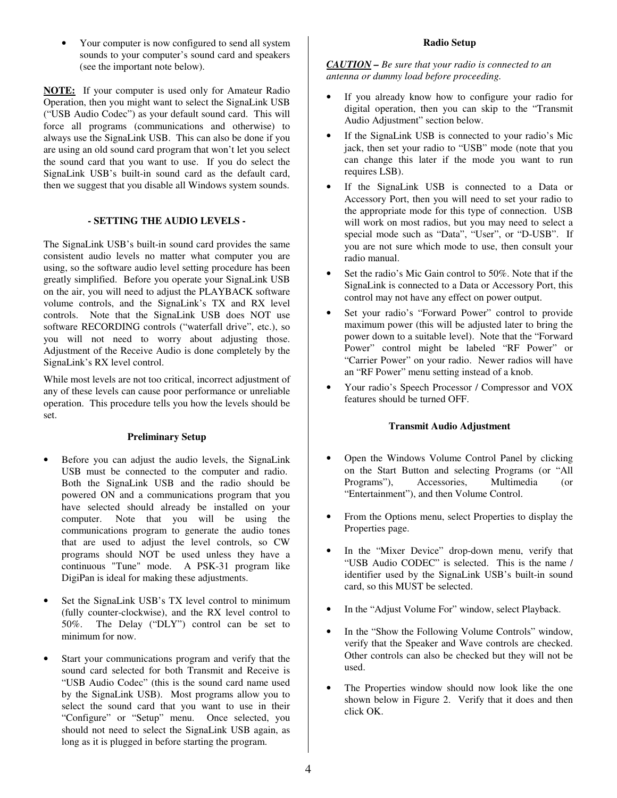• Your computer is now configured to send all system sounds to your computer's sound card and speakers (see the important note below).

**NOTE:** If your computer is used only for Amateur Radio Operation, then you might want to select the SignaLink USB ("USB Audio Codec") as your default sound card. This will force all programs (communications and otherwise) to always use the SignaLink USB. This can also be done if you are using an old sound card program that won't let you select the sound card that you want to use. If you do select the SignaLink USB's built-in sound card as the default card, then we suggest that you disable all Windows system sounds.

## **- SETTING THE AUDIO LEVELS -**

The SignaLink USB's built-in sound card provides the same consistent audio levels no matter what computer you are using, so the software audio level setting procedure has been greatly simplified. Before you operate your SignaLink USB on the air, you will need to adjust the PLAYBACK software volume controls, and the SignaLink's TX and RX level controls. Note that the SignaLink USB does NOT use software RECORDING controls ("waterfall drive", etc.), so you will not need to worry about adjusting those. Adjustment of the Receive Audio is done completely by the SignaLink's RX level control.

While most levels are not too critical, incorrect adjustment of any of these levels can cause poor performance or unreliable operation. This procedure tells you how the levels should be set.

## **Preliminary Setup**

- Before you can adjust the audio levels, the SignaLink USB must be connected to the computer and radio. Both the SignaLink USB and the radio should be powered ON and a communications program that you have selected should already be installed on your computer. Note that you will be using the communications program to generate the audio tones that are used to adjust the level controls, so CW programs should NOT be used unless they have a continuous "Tune" mode. A PSK-31 program like DigiPan is ideal for making these adjustments.
- Set the SignaLink USB's TX level control to minimum (fully counter-clockwise), and the RX level control to 50%. The Delay ("DLY") control can be set to minimum for now.
- Start your communications program and verify that the sound card selected for both Transmit and Receive is "USB Audio Codec" (this is the sound card name used by the SignaLink USB). Most programs allow you to select the sound card that you want to use in their "Configure" or "Setup" menu. Once selected, you should not need to select the SignaLink USB again, as long as it is plugged in before starting the program.

*CAUTION – Be sure that your radio is connected to an antenna or dummy load before proceeding.*

- If you already know how to configure your radio for digital operation, then you can skip to the "Transmit Audio Adjustment" section below.
- If the SignaLink USB is connected to your radio's Mic jack, then set your radio to "USB" mode (note that you can change this later if the mode you want to run requires LSB).
- If the SignaLink USB is connected to a Data or Accessory Port, then you will need to set your radio to the appropriate mode for this type of connection. USB will work on most radios, but you may need to select a special mode such as "Data", "User", or "D-USB". If you are not sure which mode to use, then consult your radio manual.
- Set the radio's Mic Gain control to 50%. Note that if the SignaLink is connected to a Data or Accessory Port, this control may not have any effect on power output.
- Set your radio's "Forward Power" control to provide maximum power (this will be adjusted later to bring the power down to a suitable level). Note that the "Forward Power" control might be labeled "RF Power" or "Carrier Power" on your radio. Newer radios will have an "RF Power" menu setting instead of a knob.
- Your radio's Speech Processor / Compressor and VOX features should be turned OFF.

## **Transmit Audio Adjustment**

- Open the Windows Volume Control Panel by clicking on the Start Button and selecting Programs (or "All Programs"), Accessories, Multimedia (or "Entertainment"), and then Volume Control.
- From the Options menu, select Properties to display the Properties page.
- In the "Mixer Device" drop-down menu, verify that "USB Audio CODEC" is selected. This is the name / identifier used by the SignaLink USB's built-in sound card, so this MUST be selected.
- In the "Adjust Volume For" window, select Playback.
- In the "Show the Following Volume Controls" window, verify that the Speaker and Wave controls are checked. Other controls can also be checked but they will not be used.
- The Properties window should now look like the one shown below in Figure 2. Verify that it does and then click OK.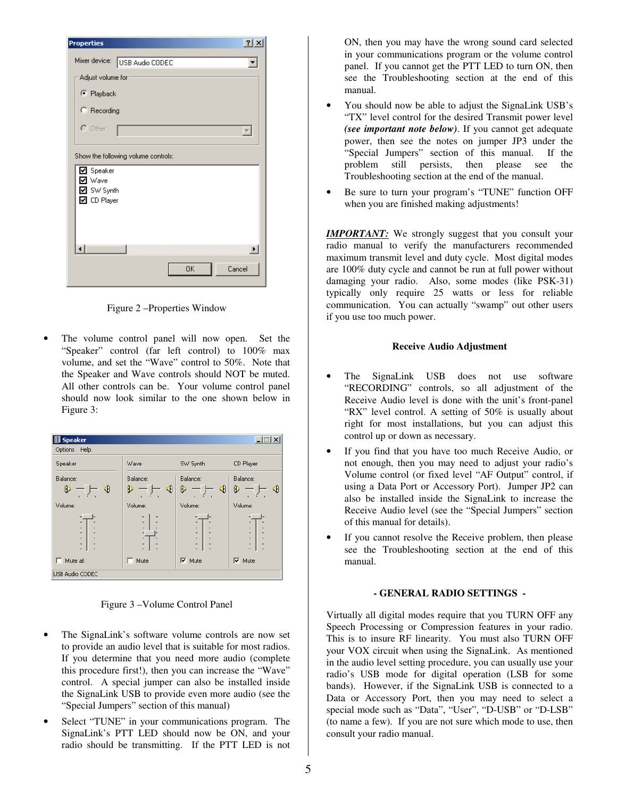| <b>Properties</b>                                                     |                                     |    | $ ?  \times$             |
|-----------------------------------------------------------------------|-------------------------------------|----|--------------------------|
|                                                                       | Mixer device: USB Audio CODEC       |    |                          |
| Adjust volume for                                                     |                                     |    |                          |
| C Playback                                                            |                                     |    |                          |
| C Recording                                                           |                                     |    |                          |
| $C$ Other                                                             |                                     |    | $\overline{\phantom{a}}$ |
|                                                                       | Show the following volume controls: |    |                          |
| Speaker<br> ✓<br>Wave<br>⊽<br><b>☑</b> SW Synth<br><b>☑</b> CD Player |                                     |    |                          |
|                                                                       |                                     |    | $\blacktriangleright$    |
|                                                                       |                                     | 0K | Cancel                   |

Figure 2 –Properties Window

The volume control panel will now open. Set the "Speaker" control (far left control) to 100% max volume, and set the "Wave" control to 50%. Note that the Speaker and Wave controls should NOT be muted. All other controls can be. Your volume control panel should now look similar to the one shown below in Figure 3:

| <b>Speaker</b>                                                                                         |              |               |                          |
|--------------------------------------------------------------------------------------------------------|--------------|---------------|--------------------------|
| Help<br>Options                                                                                        |              |               |                          |
| Speaker                                                                                                | Wave         | SW Synth      | CD Player                |
| Balance:                                                                                               | Balance:     | Balance:      | Balance:                 |
| D<br>∢                                                                                                 | ◀<br>ß       | ៕<br>R        | ∢<br>R.<br>п             |
| Volume:                                                                                                | Volume:      | Volume:       | Volume:                  |
| $\overline{\phantom{a}}$<br>$\overline{a}$<br>÷,<br>$\overline{a}$<br>$\blacksquare$<br>$\overline{a}$ | ٠<br>٠<br>L, | ٠             | ٠<br>$\overline{a}$<br>٠ |
| Mute all                                                                                               | Mute         | $\nabla$ Mute | $\nabla$ Mute            |
| USB Audio CODEC                                                                                        |              |               |                          |

Figure 3 –Volume Control Panel

- The SignaLink's software volume controls are now set to provide an audio level that is suitable for most radios. If you determine that you need more audio (complete this procedure first!), then you can increase the "Wave" control. A special jumper can also be installed inside the SignaLink USB to provide even more audio (see the "Special Jumpers" section of this manual)
- Select "TUNE" in your communications program. The SignaLink's PTT LED should now be ON, and your radio should be transmitting. If the PTT LED is not

ON, then you may have the wrong sound card selected in your communications program or the volume control panel. If you cannot get the PTT LED to turn ON, then see the Troubleshooting section at the end of this manual.

- You should now be able to adjust the SignaLink USB's "TX" level control for the desired Transmit power level *(see important note below)*. If you cannot get adequate power, then see the notes on jumper JP3 under the "Special Jumpers" section of this manual. If the problem still persists, then please see the Troubleshooting section at the end of the manual.
- Be sure to turn your program's "TUNE" function OFF when you are finished making adjustments!

**IMPORTANT:** We strongly suggest that you consult your radio manual to verify the manufacturers recommended maximum transmit level and duty cycle. Most digital modes are 100% duty cycle and cannot be run at full power without damaging your radio. Also, some modes (like PSK-31) typically only require 25 watts or less for reliable communication. You can actually "swamp" out other users if you use too much power.

## **Receive Audio Adjustment**

- The SignaLink USB does not use software "RECORDING" controls, so all adjustment of the Receive Audio level is done with the unit's front-panel "RX" level control. A setting of 50% is usually about right for most installations, but you can adjust this control up or down as necessary.
- If you find that you have too much Receive Audio, or not enough, then you may need to adjust your radio's Volume control (or fixed level "AF Output" control, if using a Data Port or Accessory Port). Jumper JP2 can also be installed inside the SignaLink to increase the Receive Audio level (see the "Special Jumpers" section of this manual for details).
- If you cannot resolve the Receive problem, then please see the Troubleshooting section at the end of this manual.

## **- GENERAL RADIO SETTINGS -**

Virtually all digital modes require that you TURN OFF any Speech Processing or Compression features in your radio. This is to insure RF linearity. You must also TURN OFF your VOX circuit when using the SignaLink. As mentioned in the audio level setting procedure, you can usually use your radio's USB mode for digital operation (LSB for some bands). However, if the SignaLink USB is connected to a Data or Accessory Port, then you may need to select a special mode such as "Data", "User", "D-USB" or "D-LSB" (to name a few). If you are not sure which mode to use, then consult your radio manual.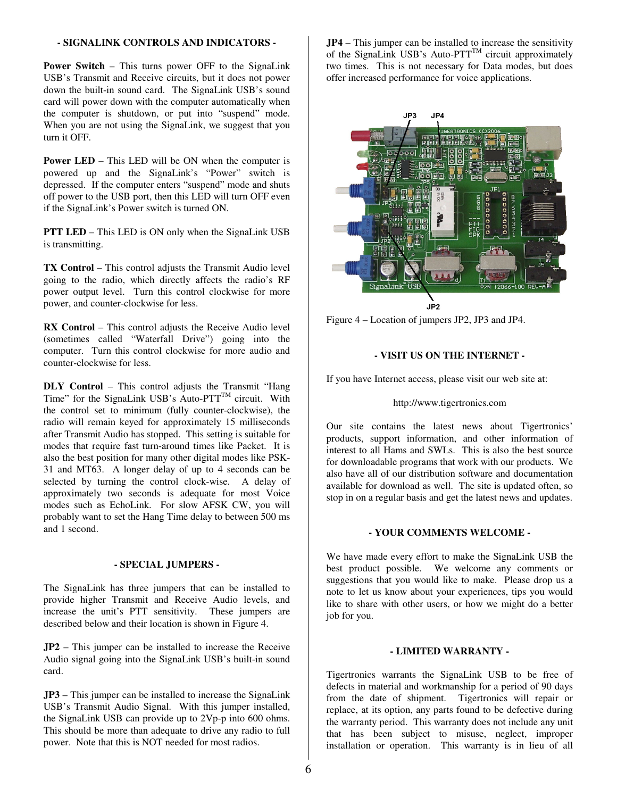### **- SIGNALINK CONTROLS AND INDICATORS -**

**Power Switch** – This turns power OFF to the SignaLink USB's Transmit and Receive circuits, but it does not power down the built-in sound card. The SignaLink USB's sound card will power down with the computer automatically when the computer is shutdown, or put into "suspend" mode. When you are not using the SignaLink, we suggest that you turn it OFF.

**Power LED** – This LED will be ON when the computer is powered up and the SignaLink's "Power" switch is depressed. If the computer enters "suspend" mode and shuts off power to the USB port, then this LED will turn OFF even if the SignaLink's Power switch is turned ON.

**PTT LED** – This LED is ON only when the SignaLink USB is transmitting.

**TX Control** – This control adjusts the Transmit Audio level going to the radio, which directly affects the radio's RF power output level. Turn this control clockwise for more power, and counter-clockwise for less.

**RX Control** – This control adjusts the Receive Audio level (sometimes called "Waterfall Drive") going into the computer. Turn this control clockwise for more audio and counter-clockwise for less.

**DLY Control** – This control adjusts the Transmit "Hang Time" for the SignaLink USB's Auto- $PTT^{TM}$  circuit. With the control set to minimum (fully counter-clockwise), the radio will remain keyed for approximately 15 milliseconds after Transmit Audio has stopped. This setting is suitable for modes that require fast turn-around times like Packet. It is also the best position for many other digital modes like PSK-31 and MT63. A longer delay of up to 4 seconds can be selected by turning the control clock-wise. A delay of approximately two seconds is adequate for most Voice modes such as EchoLink. For slow AFSK CW, you will probably want to set the Hang Time delay to between 500 ms and 1 second.

## **- SPECIAL JUMPERS -**

The SignaLink has three jumpers that can be installed to provide higher Transmit and Receive Audio levels, and increase the unit's PTT sensitivity. These jumpers are described below and their location is shown in Figure 4.

**JP2** – This jumper can be installed to increase the Receive Audio signal going into the SignaLink USB's built-in sound card.

**JP3** – This jumper can be installed to increase the SignaLink USB's Transmit Audio Signal. With this jumper installed, the SignaLink USB can provide up to 2Vp-p into 600 ohms. This should be more than adequate to drive any radio to full power. Note that this is NOT needed for most radios.

**JP4** – This jumper can be installed to increase the sensitivity of the SignaLink USB's Auto- $PTT^{TM}$  circuit approximately two times. This is not necessary for Data modes, but does offer increased performance for voice applications.



Figure 4 – Location of jumpers JP2, JP3 and JP4.

## **- VISIT US ON THE INTERNET -**

If you have Internet access, please visit our web site at:

## http://www.tigertronics.com

Our site contains the latest news about Tigertronics' products, support information, and other information of interest to all Hams and SWLs. This is also the best source for downloadable programs that work with our products. We also have all of our distribution software and documentation available for download as well. The site is updated often, so stop in on a regular basis and get the latest news and updates.

## **- YOUR COMMENTS WELCOME -**

We have made every effort to make the SignaLink USB the best product possible. We welcome any comments or suggestions that you would like to make. Please drop us a note to let us know about your experiences, tips you would like to share with other users, or how we might do a better job for you.

#### **- LIMITED WARRANTY -**

Tigertronics warrants the SignaLink USB to be free of defects in material and workmanship for a period of 90 days from the date of shipment. Tigertronics will repair or replace, at its option, any parts found to be defective during the warranty period. This warranty does not include any unit that has been subject to misuse, neglect, improper installation or operation. This warranty is in lieu of all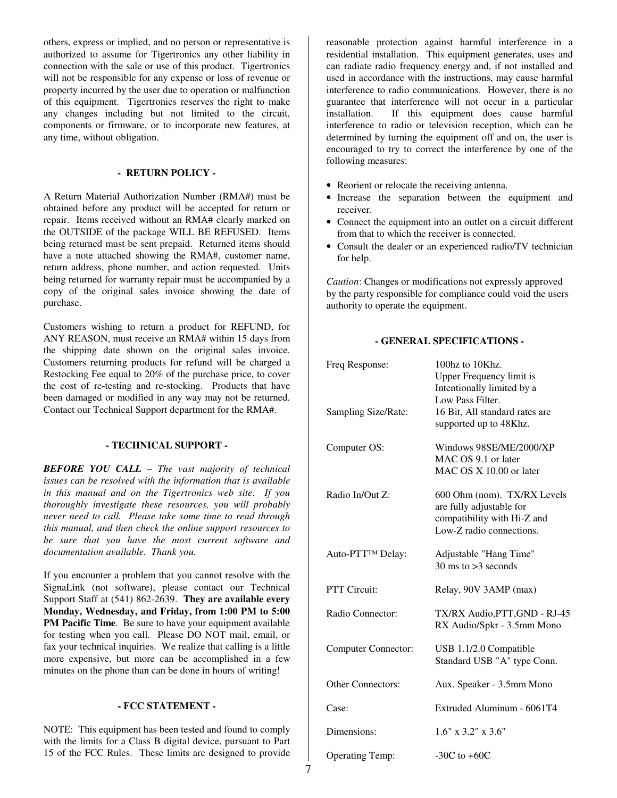others, express or implied, and no person or representative is authorized to assume for Tigertronics any other liability in connection with the sale or use of this product. Tigertronics will not be responsible for any expense or loss of revenue or property incurred by the user due to operation or malfunction of this equipment. Tigertronics reserves the right to make any changes including but not limited to the circuit, components or firmware, or to incorporate new features, at any time, without obligation.

## **- RETURN POLICY -**

A Return Material Authorization Number (RMA#) must be obtained before any product will be accepted for return or repair. Items received without an RMA# clearly marked on the OUTSIDE of the package WILL BE REFUSED. Items being returned must be sent prepaid. Returned items should have a note attached showing the RMA#, customer name, return address, phone number, and action requested. Units being returned for warranty repair must be accompanied by a copy of the original sales invoice showing the date of purchase.

Customers wishing to return a product for REFUND, for ANY REASON, must receive an RMA# within 15 days from the shipping date shown on the original sales invoice. Customers returning products for refund will be charged a Restocking Fee equal to 20% of the purchase price, to cover the cost of re-testing and re-stocking. Products that have been damaged or modified in any way may not be returned. Contact our Technical Support department for the RMA#.

## **- TECHNICAL SUPPORT -**

*BEFORE YOU CALL – The vast majority of technical issues can be resolved with the information that is available in this manual and on the Tigertronics web site. If you thoroughly investigate these resources, you will probably never need to call. Please take some time to read through this manual, and then check the online support resources to be sure that you have the most current software and documentation available. Thank you.* 

If you encounter a problem that you cannot resolve with the SignaLink (not software), please contact our Technical Support Staff at (541) 862-2639. **They are available every Monday, Wednesday, and Friday, from 1:00 PM to 5:00 PM Pacific Time**. Be sure to have your equipment available for testing when you call. Please DO NOT mail, email, or fax your technical inquiries. We realize that calling is a little more expensive, but more can be accomplished in a few minutes on the phone than can be done in hours of writing!

## **- FCC STATEMENT -**

NOTE: This equipment has been tested and found to comply with the limits for a Class B digital device, pursuant to Part 15 of the FCC Rules. These limits are designed to provide

reasonable protection against harmful interference in a residential installation. This equipment generates, uses and can radiate radio frequency energy and, if not installed and used in accordance with the instructions, may cause harmful interference to radio communications. However, there is no guarantee that interference will not occur in a particular installation. If this equipment does cause harmful interference to radio or television reception, which can be determined by turning the equipment off and on, the user is encouraged to try to correct the interference by one of the following measures:

- Reorient or relocate the receiving antenna.
- Increase the separation between the equipment and receiver.
- Connect the equipment into an outlet on a circuit different from that to which the receiver is connected.
- Consult the dealer or an experienced radio/TV technician for help.

*Caution*: Changes or modifications not expressly approved by the party responsible for compliance could void the users authority to operate the equipment.

## **- GENERAL SPECIFICATIONS -**

| Freq Response:             | 100hz to 10Khz.<br><b>Upper Frequency limit is</b><br>Intentionally limited by a<br>Low Pass Filter.               |
|----------------------------|--------------------------------------------------------------------------------------------------------------------|
| Sampling Size/Rate:        | 16 Bit, All standard rates are<br>supported up to 48Khz.                                                           |
| Computer OS:               | Windows 98SE/ME/2000/XP<br>MAC OS 9.1 or later<br>MAC OS X 10.00 or later                                          |
| Radio In/Out Z:            | 600 Ohm (nom). TX/RX Levels<br>are fully adjustable for<br>compatibility with Hi-Z and<br>Low-Z radio connections. |
| Auto-PTT™ Delay:           | Adjustable "Hang Time"<br>$30 \text{ ms}$ to $>3 \text{ seconds}$                                                  |
| <b>PTT Circuit:</b>        | Relay, 90V 3AMP (max)                                                                                              |
| Radio Connector:           | TX/RX Audio, PTT, GND - RJ-45<br>RX Audio/Spkr - 3.5mm Mono                                                        |
| <b>Computer Connector:</b> | USB 1.1/2.0 Compatible<br>Standard USB "A" type Conn.                                                              |
| <b>Other Connectors:</b>   | Aux. Speaker - 3.5mm Mono                                                                                          |
| Case:                      | Extruded Aluminum - 6061T4                                                                                         |
| Dimensions:                | $1.6" \times 3.2" \times 3.6"$                                                                                     |
| <b>Operating Temp:</b>     | $-30C$ to $+60C$                                                                                                   |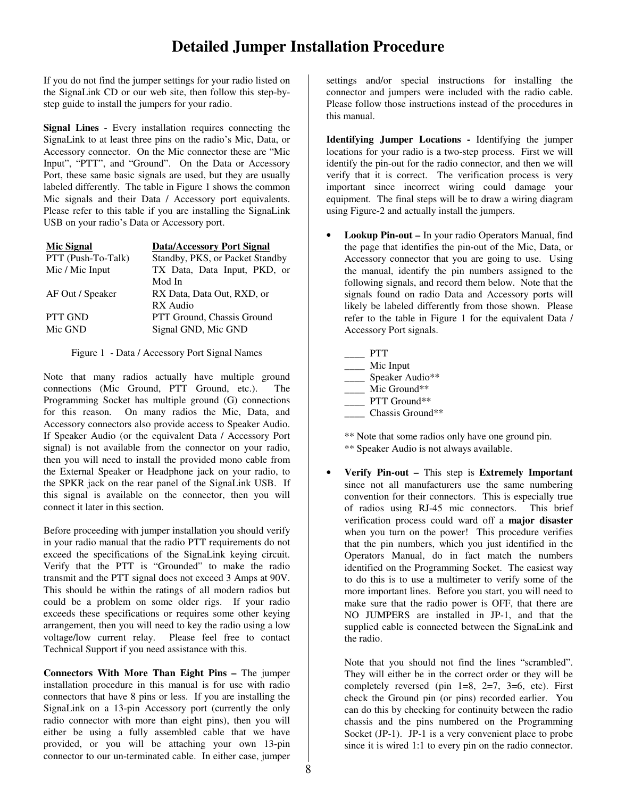## **Detailed Jumper Installation Procedure**

If you do not find the jumper settings for your radio listed on the SignaLink CD or our web site, then follow this step-bystep guide to install the jumpers for your radio.

**Signal Lines** - Every installation requires connecting the SignaLink to at least three pins on the radio's Mic, Data, or Accessory connector. On the Mic connector these are "Mic Input", "PTT", and "Ground". On the Data or Accessory Port, these same basic signals are used, but they are usually labeled differently. The table in Figure 1 shows the common Mic signals and their Data / Accessory port equivalents. Please refer to this table if you are installing the SignaLink USB on your radio's Data or Accessory port.

| <b>Mic Signal</b>  | <b>Data/Accessory Port Signal</b> |
|--------------------|-----------------------------------|
| PTT (Push-To-Talk) | Standby, PKS, or Packet Standby   |
| Mic / Mic Input    | TX Data, Data Input, PKD, or      |
|                    | Mod In                            |
| AF Out / Speaker   | RX Data, Data Out, RXD, or        |
|                    | RX Audio                          |
| <b>PTT GND</b>     | PTT Ground, Chassis Ground        |
| Mic GND            | Signal GND, Mic GND               |
|                    |                                   |

Figure 1 - Data / Accessory Port Signal Names

Note that many radios actually have multiple ground connections (Mic Ground, PTT Ground, etc.). The Programming Socket has multiple ground (G) connections for this reason. On many radios the Mic, Data, and Accessory connectors also provide access to Speaker Audio. If Speaker Audio (or the equivalent Data / Accessory Port signal) is not available from the connector on your radio, then you will need to install the provided mono cable from the External Speaker or Headphone jack on your radio, to the SPKR jack on the rear panel of the SignaLink USB. If this signal is available on the connector, then you will connect it later in this section.

Before proceeding with jumper installation you should verify in your radio manual that the radio PTT requirements do not exceed the specifications of the SignaLink keying circuit. Verify that the PTT is "Grounded" to make the radio transmit and the PTT signal does not exceed 3 Amps at 90V. This should be within the ratings of all modern radios but could be a problem on some older rigs. If your radio exceeds these specifications or requires some other keying arrangement, then you will need to key the radio using a low voltage/low current relay. Please feel free to contact Technical Support if you need assistance with this.

**Connectors With More Than Eight Pins –** The jumper installation procedure in this manual is for use with radio connectors that have 8 pins or less. If you are installing the SignaLink on a 13-pin Accessory port (currently the only radio connector with more than eight pins), then you will either be using a fully assembled cable that we have provided, or you will be attaching your own 13-pin connector to our un-terminated cable. In either case, jumper

settings and/or special instructions for installing the connector and jumpers were included with the radio cable. Please follow those instructions instead of the procedures in this manual.

**Identifying Jumper Locations -** Identifying the jumper locations for your radio is a two-step process. First we will identify the pin-out for the radio connector, and then we will verify that it is correct. The verification process is very important since incorrect wiring could damage your equipment. The final steps will be to draw a wiring diagram using Figure-2 and actually install the jumpers.

• **Lookup Pin-out –** In your radio Operators Manual, find the page that identifies the pin-out of the Mic, Data, or Accessory connector that you are going to use. Using the manual, identify the pin numbers assigned to the following signals, and record them below. Note that the signals found on radio Data and Accessory ports will likely be labeled differently from those shown. Please refer to the table in Figure 1 for the equivalent Data / Accessory Port signals.

| PTT              |
|------------------|
| Mic Input        |
| Speaker Audio**  |
| Mic Ground**     |
| PTT Ground**     |
| Chassis Ground** |

\*\* Note that some radios only have one ground pin. \*\* Speaker Audio is not always available.

• **Verify Pin-out –** This step is **Extremely Important** since not all manufacturers use the same numbering convention for their connectors. This is especially true of radios using RJ-45 mic connectors. This brief verification process could ward off a **major disaster** when you turn on the power! This procedure verifies that the pin numbers, which you just identified in the Operators Manual, do in fact match the numbers identified on the Programming Socket. The easiest way to do this is to use a multimeter to verify some of the more important lines. Before you start, you will need to make sure that the radio power is OFF, that there are NO JUMPERS are installed in JP-1, and that the supplied cable is connected between the SignaLink and the radio.

Note that you should not find the lines "scrambled". They will either be in the correct order or they will be completely reversed (pin  $1=8$ ,  $2=7$ ,  $3=6$ , etc). First check the Ground pin (or pins) recorded earlier. You can do this by checking for continuity between the radio chassis and the pins numbered on the Programming Socket (JP-1). JP-1 is a very convenient place to probe since it is wired 1:1 to every pin on the radio connector.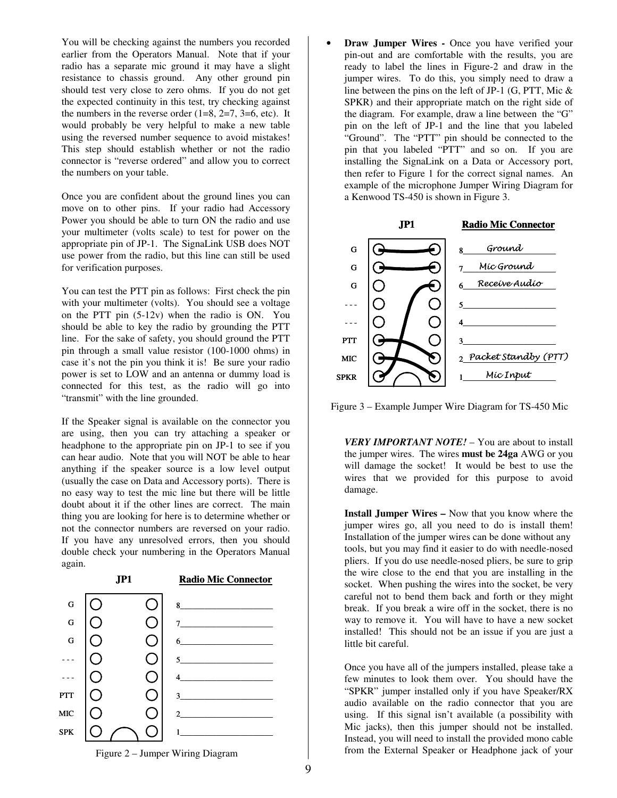You will be checking against the numbers you recorded earlier from the Operators Manual. Note that if your radio has a separate mic ground it may have a slight resistance to chassis ground. Any other ground pin should test very close to zero ohms. If you do not get the expected continuity in this test, try checking against the numbers in the reverse order  $(1=8, 2=7, 3=6, etc)$ . It would probably be very helpful to make a new table using the reversed number sequence to avoid mistakes! This step should establish whether or not the radio connector is "reverse ordered" and allow you to correct the numbers on your table.

Once you are confident about the ground lines you can move on to other pins. If your radio had Accessory Power you should be able to turn ON the radio and use your multimeter (volts scale) to test for power on the appropriate pin of JP-1. The SignaLink USB does NOT use power from the radio, but this line can still be used for verification purposes.

You can test the PTT pin as follows: First check the pin with your multimeter (volts). You should see a voltage on the PTT pin (5-12v) when the radio is ON. You should be able to key the radio by grounding the PTT line. For the sake of safety, you should ground the PTT pin through a small value resistor (100-1000 ohms) in case it's not the pin you think it is! Be sure your radio power is set to LOW and an antenna or dummy load is connected for this test, as the radio will go into "transmit" with the line grounded.

If the Speaker signal is available on the connector you are using, then you can try attaching a speaker or headphone to the appropriate pin on JP-1 to see if you can hear audio. Note that you will NOT be able to hear anything if the speaker source is a low level output (usually the case on Data and Accessory ports). There is no easy way to test the mic line but there will be little doubt about it if the other lines are correct. The main thing you are looking for here is to determine whether or not the connector numbers are reversed on your radio. If you have any unresolved errors, then you should double check your numbering in the Operators Manual again.



**Draw Jumper Wires -** Once you have verified your pin-out and are comfortable with the results, you are ready to label the lines in Figure-2 and draw in the jumper wires. To do this, you simply need to draw a line between the pins on the left of JP-1 (G, PTT, Mic & SPKR) and their appropriate match on the right side of the diagram. For example, draw a line between the "G" pin on the left of JP-1 and the line that you labeled "Ground". The "PTT" pin should be connected to the pin that you labeled "PTT" and so on. If you are installing the SignaLink on a Data or Accessory port, then refer to Figure 1 for the correct signal names. An example of the microphone Jumper Wiring Diagram for a Kenwood TS-450 is shown in Figure 3.



Figure 3 – Example Jumper Wire Diagram for TS-450 Mic

*VERY IMPORTANT NOTE!* – You are about to install the jumper wires. The wires **must be 24ga** AWG or you will damage the socket! It would be best to use the wires that we provided for this purpose to avoid damage.

**Install Jumper Wires –** Now that you know where the jumper wires go, all you need to do is install them! Installation of the jumper wires can be done without any tools, but you may find it easier to do with needle-nosed pliers. If you do use needle-nosed pliers, be sure to grip the wire close to the end that you are installing in the socket. When pushing the wires into the socket, be very careful not to bend them back and forth or they might break. If you break a wire off in the socket, there is no way to remove it. You will have to have a new socket installed! This should not be an issue if you are just a little bit careful.

Once you have all of the jumpers installed, please take a few minutes to look them over. You should have the "SPKR" jumper installed only if you have Speaker/RX audio available on the radio connector that you are using. If this signal isn't available (a possibility with Mic jacks), then this jumper should not be installed. Instead, you will need to install the provided mono cable from the External Speaker or Headphone jack of your

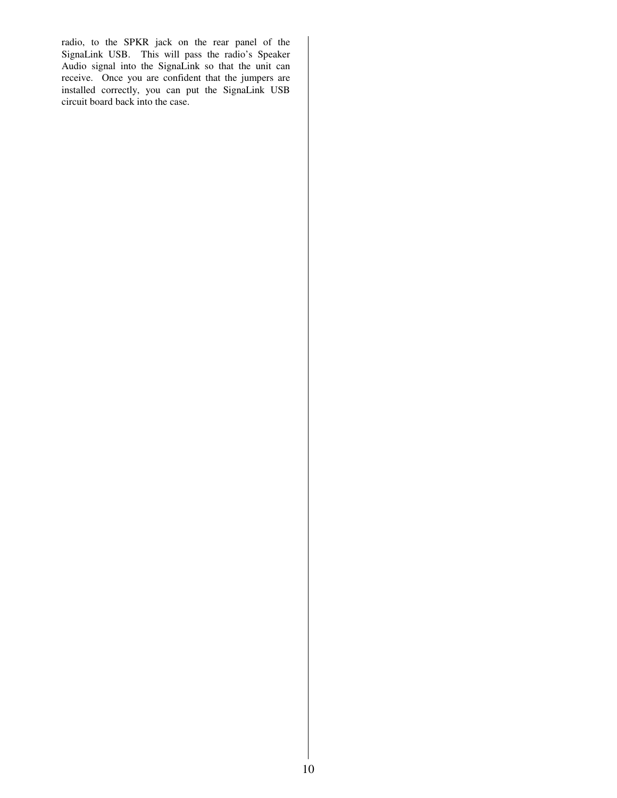radio, to the SPKR jack on the rear panel of the SignaLink USB. This will pass the radio's Speaker Audio signal into the SignaLink so that the unit can receive. Once you are confident that the jumpers are installed correctly, you can put the SignaLink USB circuit board back into the case.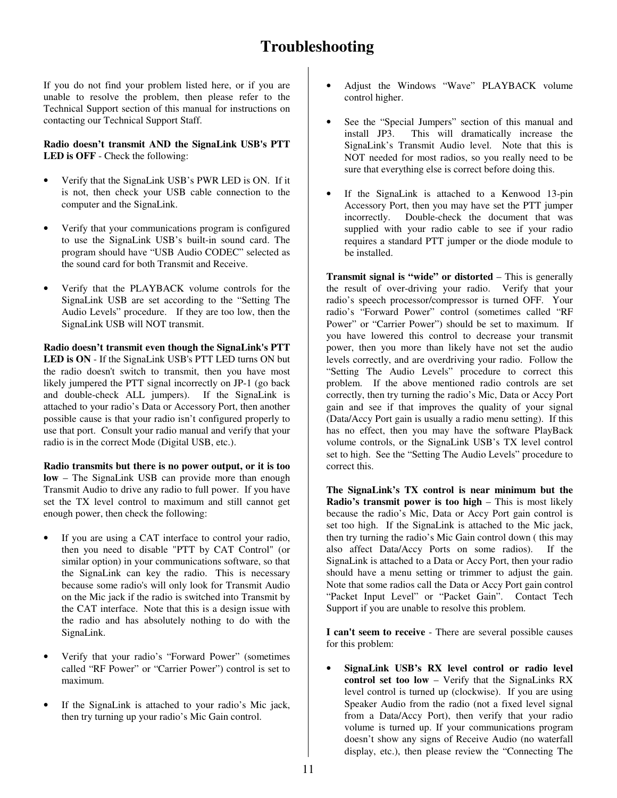## **Troubleshooting**

If you do not find your problem listed here, or if you are unable to resolve the problem, then please refer to the Technical Support section of this manual for instructions on contacting our Technical Support Staff.

**Radio doesn't transmit AND the SignaLink USB's PTT LED is OFF** - Check the following:

- Verify that the SignaLink USB's PWR LED is ON. If it is not, then check your USB cable connection to the computer and the SignaLink.
- Verify that your communications program is configured to use the SignaLink USB's built-in sound card. The program should have "USB Audio CODEC" selected as the sound card for both Transmit and Receive.
- Verify that the PLAYBACK volume controls for the SignaLink USB are set according to the "Setting The Audio Levels" procedure. If they are too low, then the SignaLink USB will NOT transmit.

**Radio doesn't transmit even though the SignaLink's PTT LED is ON** - If the SignaLink USB's PTT LED turns ON but the radio doesn't switch to transmit, then you have most likely jumpered the PTT signal incorrectly on JP-1 (go back and double-check ALL jumpers). If the SignaLink is attached to your radio's Data or Accessory Port, then another possible cause is that your radio isn't configured properly to use that port. Consult your radio manual and verify that your radio is in the correct Mode (Digital USB, etc.).

**Radio transmits but there is no power output, or it is too low** – The SignaLink USB can provide more than enough Transmit Audio to drive any radio to full power. If you have set the TX level control to maximum and still cannot get enough power, then check the following:

- If you are using a CAT interface to control your radio, then you need to disable "PTT by CAT Control" (or similar option) in your communications software, so that the SignaLink can key the radio. This is necessary because some radio's will only look for Transmit Audio on the Mic jack if the radio is switched into Transmit by the CAT interface. Note that this is a design issue with the radio and has absolutely nothing to do with the SignaLink.
- Verify that your radio's "Forward Power" (sometimes called "RF Power" or "Carrier Power") control is set to maximum.
- If the SignaLink is attached to your radio's Mic jack, then try turning up your radio's Mic Gain control.
- Adjust the Windows "Wave" PLAYBACK volume control higher.
- See the "Special Jumpers" section of this manual and install JP3. This will dramatically increase the SignaLink's Transmit Audio level. Note that this is NOT needed for most radios, so you really need to be sure that everything else is correct before doing this.
- If the SignaLink is attached to a Kenwood 13-pin Accessory Port, then you may have set the PTT jumper incorrectly. Double-check the document that was supplied with your radio cable to see if your radio requires a standard PTT jumper or the diode module to be installed.

**Transmit signal is "wide" or distorted** – This is generally the result of over-driving your radio. Verify that your radio's speech processor/compressor is turned OFF. Your radio's "Forward Power" control (sometimes called "RF Power" or "Carrier Power") should be set to maximum. If you have lowered this control to decrease your transmit power, then you more than likely have not set the audio levels correctly, and are overdriving your radio. Follow the "Setting The Audio Levels" procedure to correct this problem. If the above mentioned radio controls are set correctly, then try turning the radio's Mic, Data or Accy Port gain and see if that improves the quality of your signal (Data/Accy Port gain is usually a radio menu setting). If this has no effect, then you may have the software PlayBack volume controls, or the SignaLink USB's TX level control set to high. See the "Setting The Audio Levels" procedure to correct this.

**The SignaLink's TX control is near minimum but the Radio's transmit power is too high** – This is most likely because the radio's Mic, Data or Accy Port gain control is set too high. If the SignaLink is attached to the Mic jack, then try turning the radio's Mic Gain control down ( this may also affect Data/Accy Ports on some radios). If the SignaLink is attached to a Data or Accy Port, then your radio should have a menu setting or trimmer to adjust the gain. Note that some radios call the Data or Accy Port gain control "Packet Input Level" or "Packet Gain". Contact Tech Support if you are unable to resolve this problem.

**I can't seem to receive** - There are several possible causes for this problem:

• **SignaLink USB's RX level control or radio level control set too low** – Verify that the SignaLinks RX level control is turned up (clockwise). If you are using Speaker Audio from the radio (not a fixed level signal from a Data/Accy Port), then verify that your radio volume is turned up. If your communications program doesn't show any signs of Receive Audio (no waterfall display, etc.), then please review the "Connecting The